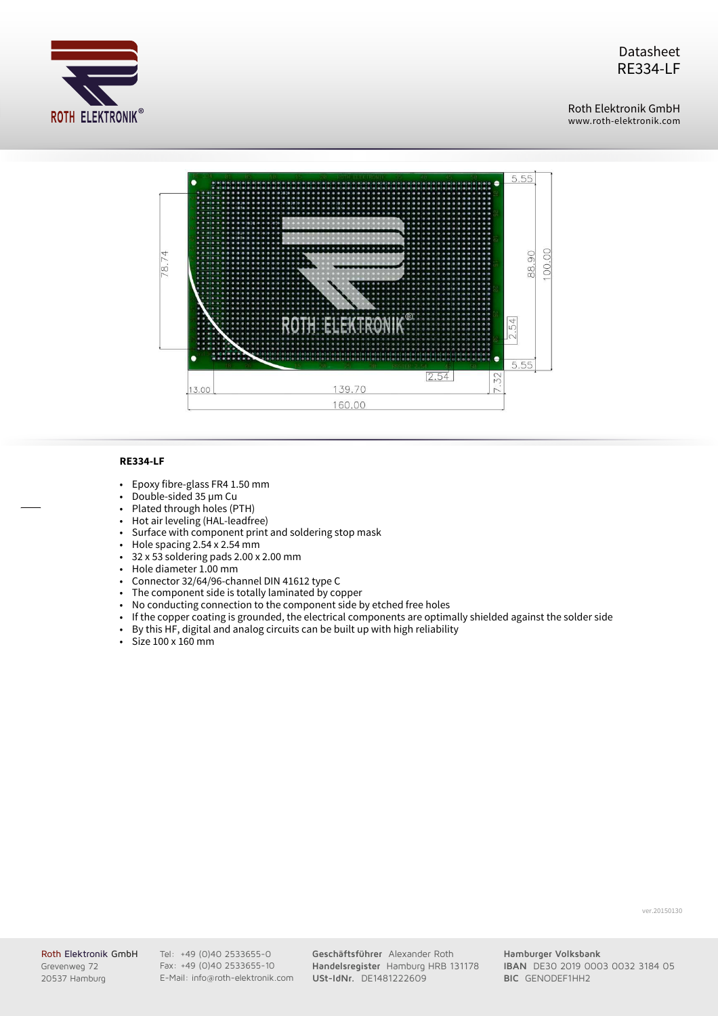

Datasheet RE334-LF

Roth Elektronik GmbH Roth Elektronik GmbH www.roth-elektronik.com



## **RE334-LF**

- Epoxy fibre-glass FR4 1.50 mm  $\ddot{\phantom{0}}$
- Double-sided 35 µm Cu  $\ddot{\phantom{0}}$
- Plated through holes (PTH)  $\ddot{\phantom{0}}$
- Hot air leveling (HAL-leadfree)  $\bullet$
- Surface with component print and soldering stop mask Ⅻ
- Hole spacing 2.54 x 2.54 mm  $\ddot{\phantom{0}}$
- 32 x 53 soldering pads 2.00 x 2.00 mm  $\bullet$
- Hole diameter 1.00 mm Ⅻ
- Connector 32/64/96-channel DIN 41612 type C  $\ddot{\phantom{1}}$
- The component side is totally laminated by copper Ⅻ
- No conducting connection to the component side by etched free holes  $\ddot{\phantom{a}}$
- If the copper coating is grounded, the electrical components are optimally shielded against the solder side  $\ddot{\phantom{0}}$
- By this HF, digital and analog circuits can be built up with high reliability  $\ddot{\cdot}$
- Size 100 x 160 mm

ver.20150130

Roth Elektronik GmbH Grevenweg 72 20537 Hamburg

Tel: +49 (0)40 2533655-0 Fax: +49 (0)40 2533655-10 E-Mail: info@roth-elektronik.com **Geschäftsführer** Alexander Roth **Handelsregister** Hamburg HRB 131178 **USt-IdNr.** DE1481222609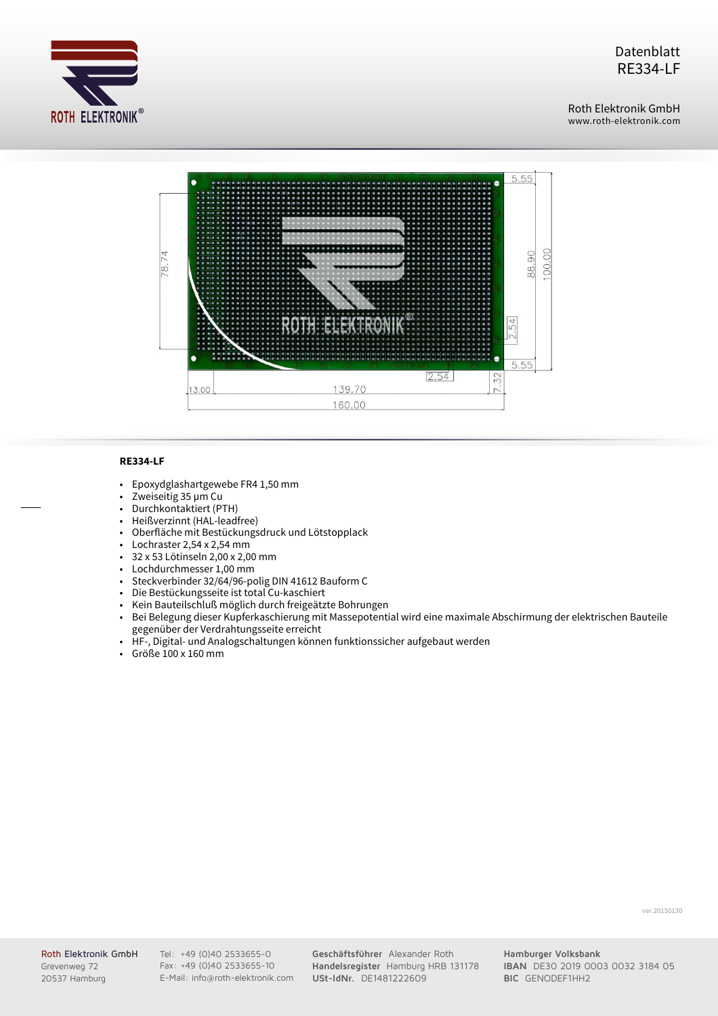

Datenblatt RE334-LF

Roth Elektronik GmbH Roth Elektronik GmbH www.roth-elektronik.com



## **RE334-LF**

- Epoxydglashartgewebe FR4 1,50 mm  $\ddot{\phantom{0}}$
- Zweiseitig 35 µm Cu Ⅻ
- Durchkontaktiert (PTH)  $\ddot{\phantom{0}}$
- Heißverzinnt (HAL-leadfree)  $\bullet$
- Oberfläche mit Bestückungsdruck und Lötstopplack  $\ddot{\phantom{1}}$
- Lochraster 2,54 x 2,54 mm  $\ddot{\phantom{0}}$
- 32 x 53 Lötinseln 2,00 x 2,00 mm  $\bullet$
- Lochdurchmesser 1,00 mm Ⅻ
- Steckverbinder 32/64/96-polig DIN 41612 Bauform C  $\blacksquare$
- Die Bestückungsseite ist total Cu-kaschiert  $\bullet$
- Kein Bauteilschluß möglich durch freigeätzte Bohrungen  $\blacksquare$
- Bei Belegung dieser Kupferkaschierung mit Massepotential wird eine maximale Abschirmung der elektrischen Bauteile gegenüber der Verdrahtungsseite erreicht  $\ddot{\phantom{0}}$
- HF-, Digital- und Analogschaltungen können funktionssicher aufgebaut werden Ⅻ
- Ⅻ Größe 100 x 160 mm

ver.20150130

Roth Elektronik GmbH Grevenweg 72 20537 Hamburg

Tel: +49 (0)40 2533655-0 Fax: +49 (0)40 2533655-10 E-Mail: info@roth-elektronik.com **Geschäftsführer** Alexander Roth **Handelsregister** Hamburg HRB 131178 **USt-IdNr.** DE1481222609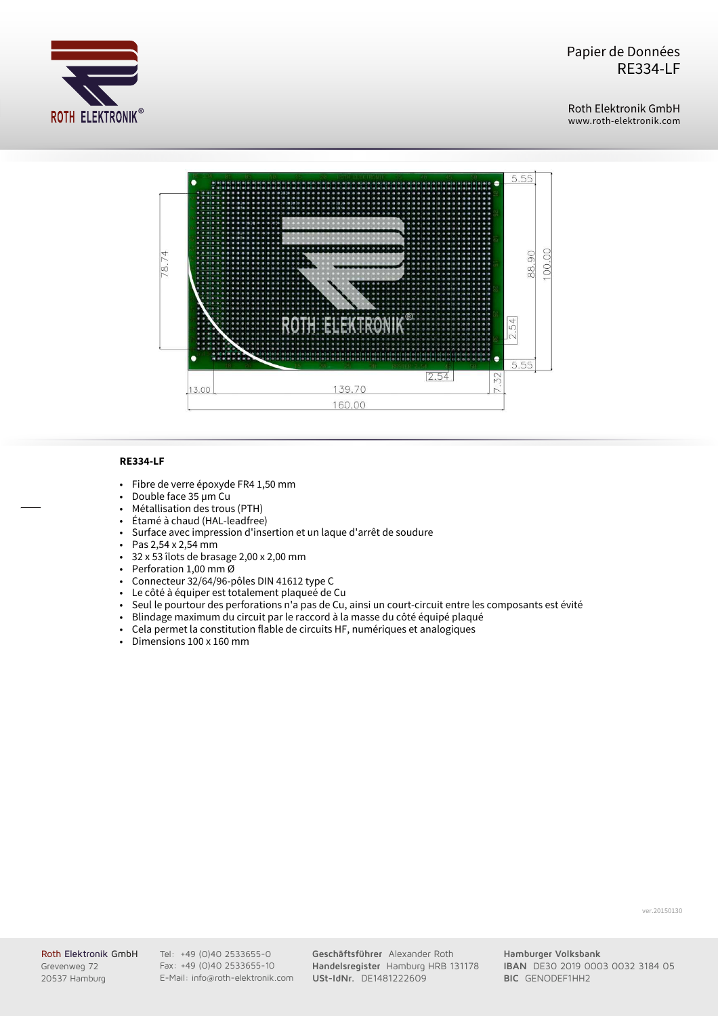

Roth Elektronik GmbH www.roth-elektronik.com



## **RE334-LF**

- Fibre de verre époxyde FR4 1,50 mm  $\ddot{\phantom{0}}$
- Double face 35 µm Cu  $\ddot{\phantom{1}}$
- Métallisation des trous (PTH)  $\ddot{\phantom{0}}$
- Étamé à chaud (HAL-leadfree)  $\ddot{\phantom{0}}$
- Surface avec impression d'insertion et un laque d'arrêt de soudure Ⅻ
- Pas 2,54 x 2,54 mm  $\bullet$
- 32 x 53 îlots de brasage 2,00 x 2,00 mm  $\bullet$
- Perforation 1,00 mm Ø Ⅻ
- Connecteur 32/64/96-pôles DIN 41612 type C  $\blacksquare$
- Le côté à équiper est totalement plaqueé de Cu  $\ddot{\phantom{1}}$
- Seul le pourtour des perforations n'a pas de Cu, ainsi un court-circuit entre les composants est évité  $\ddot{\phantom{1}}$
- Blindage maximum du circuit par le raccord à la masse du côté équipé plaqué  $\ddot{\phantom{0}}$
- Cela permet la constitution flable de circuits HF, numériques et analogiques Ⅻ
- Ⅻ Dimensions 100 x 160 mm

ver.20150130

Roth Elektronik GmbH Grevenweg 72 20537 Hamburg

Tel: +49 (0)40 2533655-0 Fax: +49 (0)40 2533655-10 E-Mail: info@roth-elektronik.com **Geschäftsführer** Alexander Roth **Handelsregister** Hamburg HRB 131178 **USt-IdNr.** DE1481222609